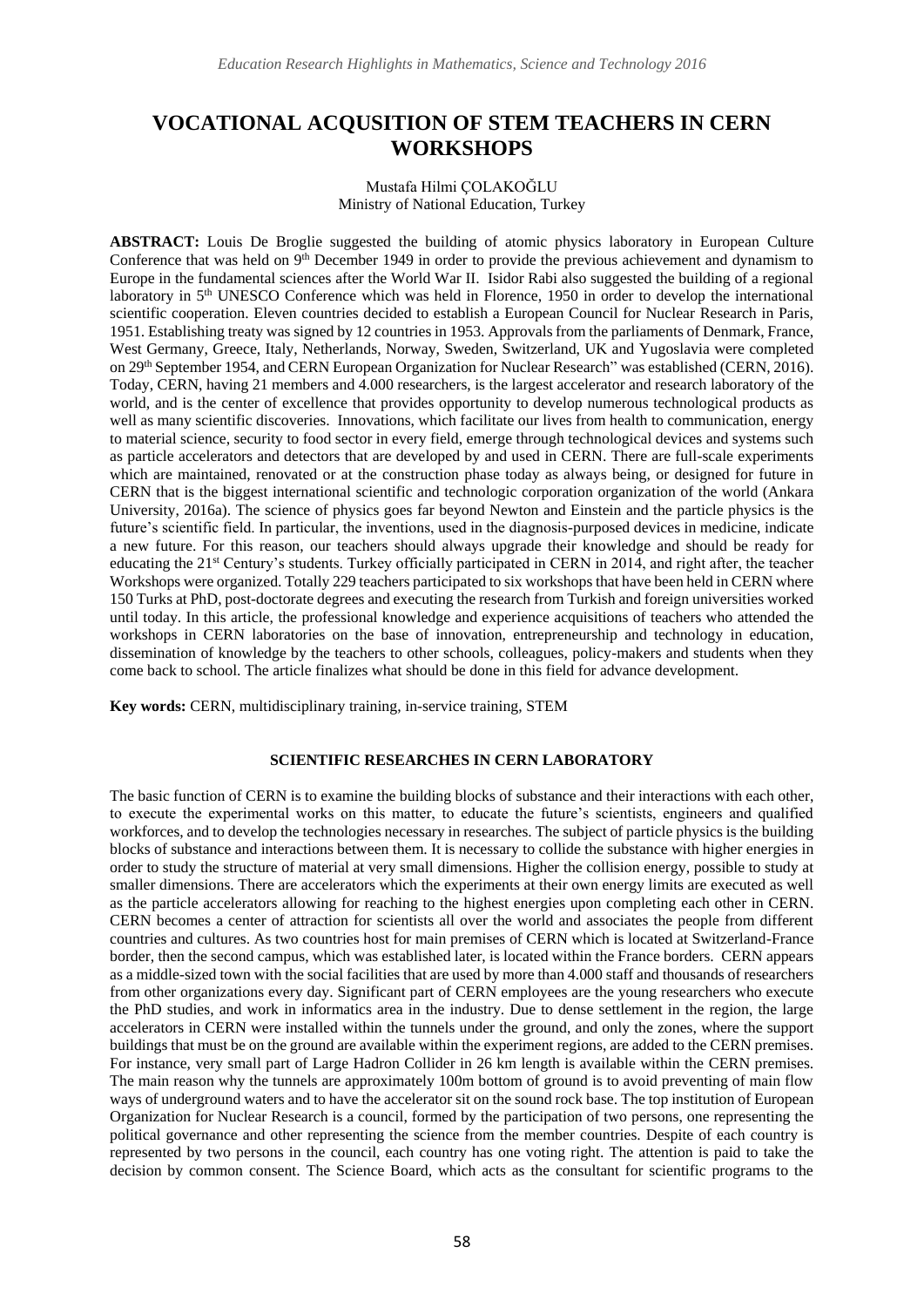# **VOCATIONAL ACQUSITION OF STEM TEACHERS IN CERN WORKSHOPS**

#### Mustafa Hilmi ÇOLAKOĞLU Ministry of National Education, Turkey

**ABSTRACT:** Louis De Broglie suggested the building of atomic physics laboratory in European Culture Conference that was held on 9<sup>th</sup> December 1949 in order to provide the previous achievement and dynamism to Europe in the fundamental sciences after the World War II. Isidor Rabi also suggested the building of a regional laboratory in 5th UNESCO Conference which was held in Florence, 1950 in order to develop the international scientific cooperation. Eleven countries decided to establish a European Council for Nuclear Research in Paris, 1951. Establishing treaty was signed by 12 countries in 1953. Approvals from the parliaments of Denmark, France, West Germany, Greece, Italy, Netherlands, Norway, Sweden, Switzerland, UK and Yugoslavia were completed on 29<sup>th</sup> September 1954, and CERN European Organization for Nuclear Research" was established (CERN, 2016). Today, CERN, having 21 members and 4.000 researchers, is the largest accelerator and research laboratory of the world, and is the center of excellence that provides opportunity to develop numerous technological products as well as many scientific discoveries. Innovations, which facilitate our lives from health to communication, energy to material science, security to food sector in every field, emerge through technological devices and systems such as particle accelerators and detectors that are developed by and used in CERN. There are full-scale experiments which are maintained, renovated or at the construction phase today as always being, or designed for future in CERN that is the biggest international scientific and technologic corporation organization of the world (Ankara University, 2016a). The science of physics goes far beyond Newton and Einstein and the particle physics is the future's scientific field. In particular, the inventions, used in the diagnosis-purposed devices in medicine, indicate a new future. For this reason, our teachers should always upgrade their knowledge and should be ready for educating the 21st Century's students. Turkey officially participated in CERN in 2014, and right after, the teacher Workshops were organized. Totally 229 teachers participated to six workshops that have been held in CERN where 150 Turks at PhD, post-doctorate degrees and executing the research from Turkish and foreign universities worked until today. In this article, the professional knowledge and experience acquisitions of teachers who attended the workshops in CERN laboratories on the base of innovation, entrepreneurship and technology in education, dissemination of knowledge by the teachers to other schools, colleagues, policy-makers and students when they come back to school. The article finalizes what should be done in this field for advance development.

**Key words:** CERN, multidisciplinary training, in-service training, STEM

# **SCIENTIFIC RESEARCHES IN CERN LABORATORY**

The basic function of CERN is to examine the building blocks of substance and their interactions with each other, to execute the experimental works on this matter, to educate the future's scientists, engineers and qualified workforces, and to develop the technologies necessary in researches. The subject of particle physics is the building blocks of substance and interactions between them. It is necessary to collide the substance with higher energies in order to study the structure of material at very small dimensions. Higher the collision energy, possible to study at smaller dimensions. There are accelerators which the experiments at their own energy limits are executed as well as the particle accelerators allowing for reaching to the highest energies upon completing each other in CERN. CERN becomes a center of attraction for scientists all over the world and associates the people from different countries and cultures. As two countries host for main premises of CERN which is located at Switzerland-France border, then the second campus, which was established later, is located within the France borders. CERN appears as a middle-sized town with the social facilities that are used by more than 4.000 staff and thousands of researchers from other organizations every day. Significant part of CERN employees are the young researchers who execute the PhD studies, and work in informatics area in the industry. Due to dense settlement in the region, the large accelerators in CERN were installed within the tunnels under the ground, and only the zones, where the support buildings that must be on the ground are available within the experiment regions, are added to the CERN premises. For instance, very small part of Large Hadron Collider in 26 km length is available within the CERN premises. The main reason why the tunnels are approximately 100m bottom of ground is to avoid preventing of main flow ways of underground waters and to have the accelerator sit on the sound rock base. The top institution of European Organization for Nuclear Research is a council, formed by the participation of two persons, one representing the political governance and other representing the science from the member countries. Despite of each country is represented by two persons in the council, each country has one voting right. The attention is paid to take the decision by common consent. The Science Board, which acts as the consultant for scientific programs to the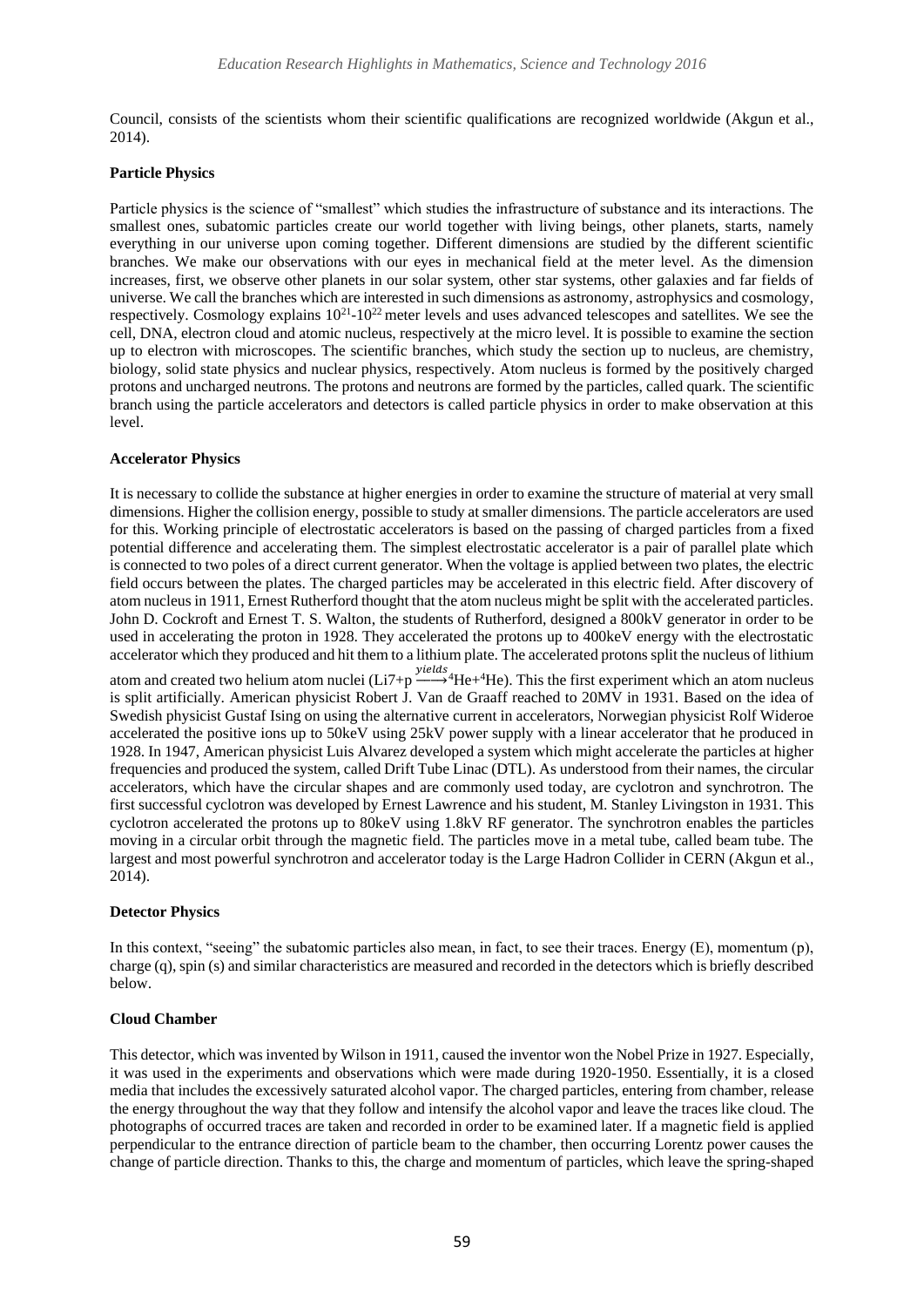Council, consists of the scientists whom their scientific qualifications are recognized worldwide (Akgun et al., 2014).

### **Particle Physics**

Particle physics is the science of "smallest" which studies the infrastructure of substance and its interactions. The smallest ones, subatomic particles create our world together with living beings, other planets, starts, namely everything in our universe upon coming together. Different dimensions are studied by the different scientific branches. We make our observations with our eyes in mechanical field at the meter level. As the dimension increases, first, we observe other planets in our solar system, other star systems, other galaxies and far fields of universe. We call the branches which are interested in such dimensions as astronomy, astrophysics and cosmology, respectively. Cosmology explains  $10^{21}$ -10<sup>22</sup> meter levels and uses advanced telescopes and satellites. We see the cell, DNA, electron cloud and atomic nucleus, respectively at the micro level. It is possible to examine the section up to electron with microscopes. The scientific branches, which study the section up to nucleus, are chemistry, biology, solid state physics and nuclear physics, respectively. Atom nucleus is formed by the positively charged protons and uncharged neutrons. The protons and neutrons are formed by the particles, called quark. The scientific branch using the particle accelerators and detectors is called particle physics in order to make observation at this level.

### **Accelerator Physics**

It is necessary to collide the substance at higher energies in order to examine the structure of material at very small dimensions. Higher the collision energy, possible to study at smaller dimensions. The particle accelerators are used for this. Working principle of electrostatic accelerators is based on the passing of charged particles from a fixed potential difference and accelerating them. The simplest electrostatic accelerator is a pair of parallel plate which is connected to two poles of a direct current generator. When the voltage is applied between two plates, the electric field occurs between the plates. The charged particles may be accelerated in this electric field. After discovery of atom nucleus in 1911, Ernest Rutherford thought that the atom nucleus might be split with the accelerated particles. John D. Cockroft and Ernest T. S. Walton, the students of Rutherford, designed a 800kV generator in order to be used in accelerating the proton in 1928. They accelerated the protons up to 400keV energy with the electrostatic accelerator which they produced and hit them to a lithium plate. The accelerated protons split the nucleus of lithium atom and created two helium atom nuclei ( $Li7+p \xrightarrow{yields} {}^{4}He + {}^{4}He$ ). This the first experiment which an atom nucleus is split artificially. American physicist Robert J. Van de Graaff reached to 20MV in 1931. Based on the idea of Swedish physicist Gustaf Ising on using the alternative current in accelerators, Norwegian physicist Rolf Wideroe accelerated the positive ions up to 50keV using 25kV power supply with a linear accelerator that he produced in 1928. In 1947, American physicist Luis Alvarez developed a system which might accelerate the particles at higher frequencies and produced the system, called Drift Tube Linac (DTL). As understood from their names, the circular accelerators, which have the circular shapes and are commonly used today, are cyclotron and synchrotron. The first successful cyclotron was developed by Ernest Lawrence and his student, M. Stanley Livingston in 1931. This cyclotron accelerated the protons up to 80keV using 1.8kV RF generator. The synchrotron enables the particles moving in a circular orbit through the magnetic field. The particles move in a metal tube, called beam tube. The largest and most powerful synchrotron and accelerator today is the Large Hadron Collider in CERN (Akgun et al., 2014).

### **Detector Physics**

In this context, "seeing" the subatomic particles also mean, in fact, to see their traces. Energy (E), momentum (p), charge (q), spin (s) and similar characteristics are measured and recorded in the detectors which is briefly described below.

# **Cloud Chamber**

This detector, which was invented by Wilson in 1911, caused the inventor won the Nobel Prize in 1927. Especially, it was used in the experiments and observations which were made during 1920-1950. Essentially, it is a closed media that includes the excessively saturated alcohol vapor. The charged particles, entering from chamber, release the energy throughout the way that they follow and intensify the alcohol vapor and leave the traces like cloud. The photographs of occurred traces are taken and recorded in order to be examined later. If a magnetic field is applied perpendicular to the entrance direction of particle beam to the chamber, then occurring Lorentz power causes the change of particle direction. Thanks to this, the charge and momentum of particles, which leave the spring-shaped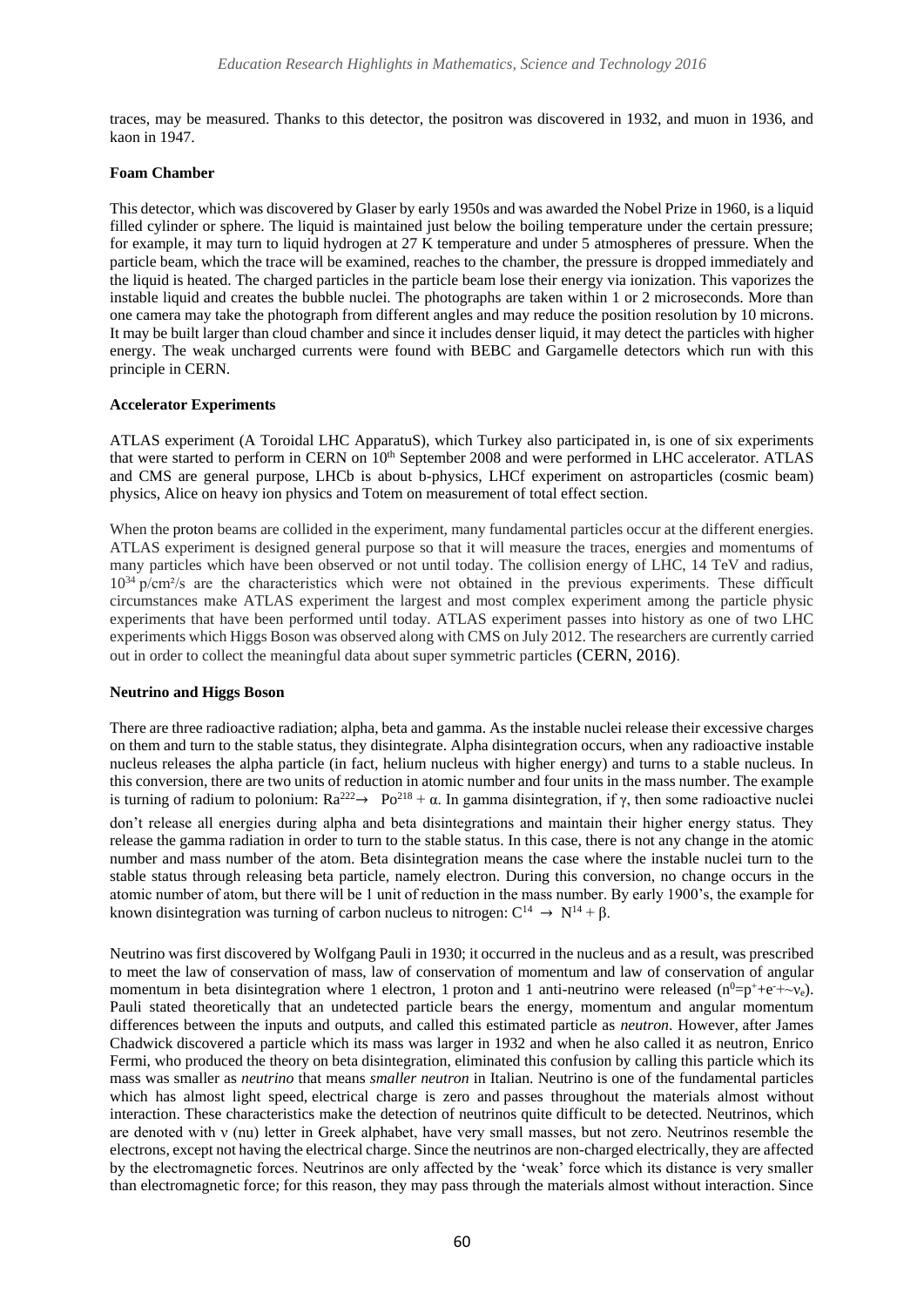traces, may be measured. Thanks to this detector, the positron was discovered in 1932, and muon in 1936, and kaon in 1947.

#### **Foam Chamber**

This detector, which was discovered by Glaser by early 1950s and was awarded the Nobel Prize in 1960, is a liquid filled cylinder or sphere. The liquid is maintained just below the boiling temperature under the certain pressure; for example, it may turn to liquid hydrogen at 27 K temperature and under 5 atmospheres of pressure. When the particle beam, which the trace will be examined, reaches to the chamber, the pressure is dropped immediately and the liquid is heated. The charged particles in the particle beam lose their energy via ionization. This vaporizes the instable liquid and creates the bubble nuclei. The photographs are taken within 1 or 2 microseconds. More than one camera may take the photograph from different angles and may reduce the position resolution by 10 microns. It may be built larger than cloud chamber and since it includes denser liquid, it may detect the particles with higher energy. The weak uncharged currents were found with BEBC and Gargamelle detectors which run with this principle in CERN.

### **Accelerator Experiments**

ATLAS experiment (A Toroidal LHC ApparatuS), which Turkey also participated in, is one of six experiments that were started to perform in CERN on 10<sup>th</sup> [September](https://tr.wikipedia.org/wiki/10_Eyl%C3%BCl) [2008](https://tr.wikipedia.org/wiki/2008) and were performed in [LHC](https://tr.wikipedia.org/wiki/LHC) accelerator. ATLAS and CMS are general purpose, LHCb is about b-physics, LHCf experiment on astroparticles (cosmic beam) physics, Alice on heavy ion physics and Totem on measurement of total effect section.

When th[e proton](https://tr.wikipedia.org/wiki/Proton) beams are collided in the experiment, many fundamental particles occur at the different energies. ATLAS experiment is designed general purpose so that it will measure the traces, energies and momentums of many particles which have been observed or not until today. The collision energy of LHC, 14 TeV and radius, 10<sup>34</sup> p/cm<sup>2</sup>/s are the characteristics which were not obtained in the previous experiments. These difficult circumstances make ATLAS experiment the largest and most complex experiment among the particle physic experiments that have been performed until today. ATLAS experiment passes into history as one of two LHC experiments which Higgs Boson was observed along with CMS on July 2012. The researchers are currently carried out in order to collect the meaningful data about super symmetric particles (CERN, 2016).

#### **Neutrino and Higgs Boson**

There are three radioactive radiation; alpha, beta and gamma. As the instable nuclei release their excessive charges on them and turn to the stable status, they disintegrate. Alpha disintegration occurs, when any radioactive instable nucleus releases the alpha particle (in fact, helium nucleus with higher energy) and turns to a stable nucleus. In this conversion, there are two units of reduction in atomic number and four units in the mass number. The example is turning of radium to polonium:  $Ra^{222} \rightarrow Po^{218} + α$ . In gamma disintegration, if γ, then some radioactive nuclei

don't release all energies during alpha and beta disintegrations and maintain their higher energy status. They release the gamma radiation in order to turn to the stable status. In this case, there is not any change in the atomic number and mass number of the atom. Beta disintegration means the case where the instable nuclei turn to the stable status through releasing beta particle, namely electron. During this conversion, no change occurs in the atomic number of atom, but there will be 1 unit of reduction in the mass number. By early 1900's, the example for known disintegration was turning of carbon nucleus to nitrogen:  $C^{14} \rightarrow N^{14} + \beta$ .

Neutrino was first discovered b[y Wolfgang Pauli](https://tr.wikipedia.org/wiki/Wolfgang_Pauli) in 1930; it occurred in the nucleus and as a result, was prescribed to meet the law of conservation of mass, law of conservation of momentum and law of conservation of angular momentum in beta disintegration where 1 electron, 1 [proton](https://tr.wikipedia.org/wiki/Proton) and 1 anti-neutrino were released  $(n^0=p^++e^+ \sim v_e)$ . Pauli stated theoretically that an undetected particle bears the energy, momentum and angular momentum differences between the inputs and outputs, and called this estimated particle as *neutron*. However, after James Chadwick discovered a particle which its mass was larger in 1932 and when he also called it as neutron, Enrico Fermi, who produced the theory on beta disintegration, eliminated this confusion by calling this particle which its mass was smaller as *neutrino* that means *smaller neutron* in Italian. Neutrino is one of the fundamental particles which has almost light speed, electrical charge is zero and passes throughout the materials almost without interaction. These characteristics make the detection of neutrinos quite difficult to be detected. Neutrinos, which are denoted with ν (nu) letter in Greek alphabet, have very small masses, but not zero. Neutrinos resemble the electrons, except not having the electrical charge. Since the neutrinos are non-charged electrically, they are affected by the electromagnetic forces. Neutrinos are only affected by the 'weak' force which its distance is very smaller than electromagnetic force; for this reason, they may pass through the materials almost without interaction. Since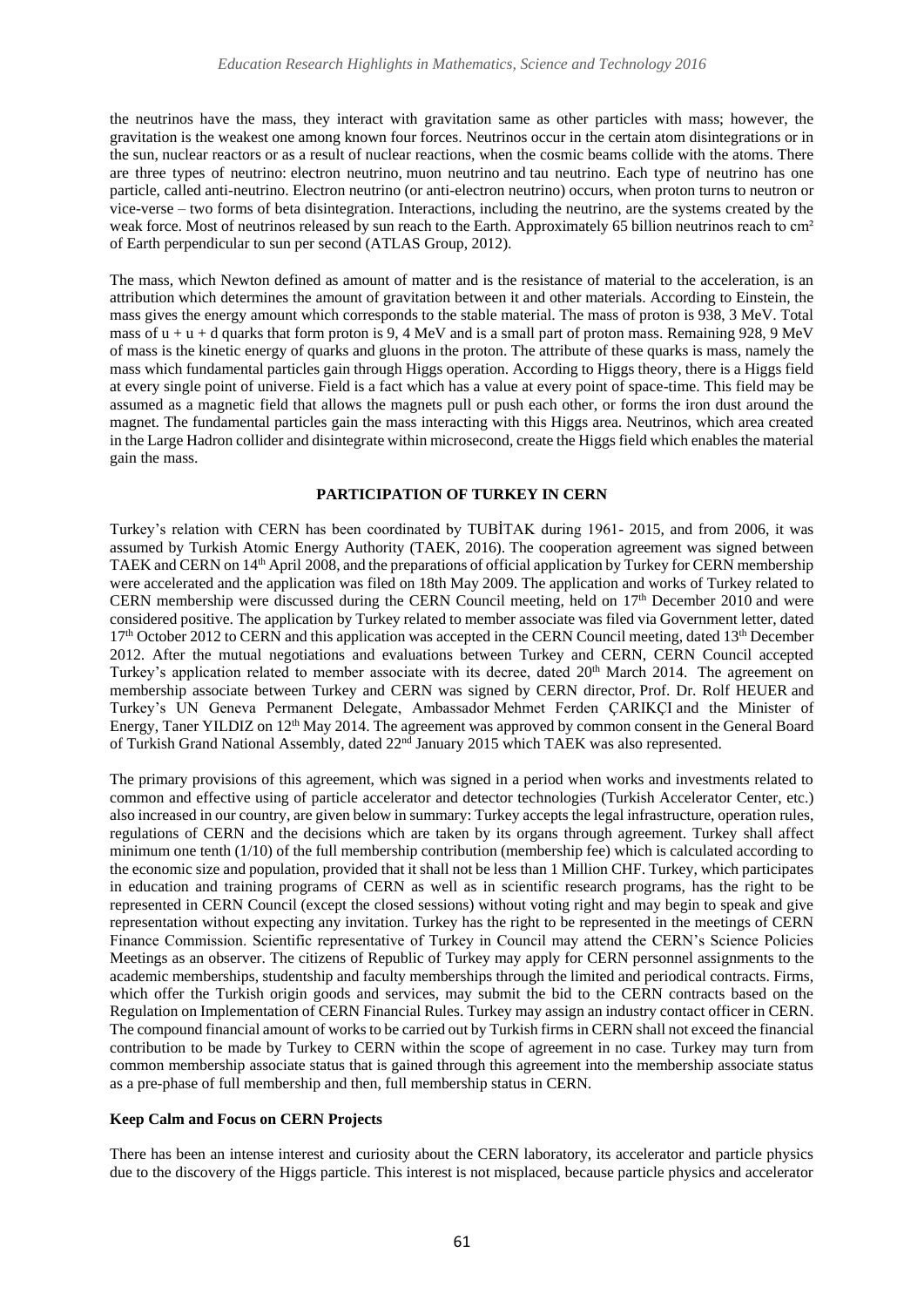the neutrinos have the mass, they interact with gravitation same as other particles with mass; however, the gravitation is the weakest one among known four forces. Neutrinos occur in the certain atom disintegrations or in the sun, nuclear reactors or as a result of nuclear reactions, when the cosmic beams collide with the atoms. There are three types of neutrino: electron neutrino, muon neutrino and [tau neutrino.](https://tr.wikipedia.org/w/index.php?title=Tau_n%C3%B6trino&action=edit&redlink=1) Each type of neutrino has one particle, called anti-neutrino. Electron neutrino (or anti-electron neutrino) occurs, when proton turns to neutron or vice-verse – two forms of [beta disintegration.](https://tr.wikipedia.org/w/index.php?title=Beta_bozunmas%C4%B1&action=edit&redlink=1) Interactions, including the neutrino, are the systems created by the weak force. Most of neutrinos released by sun reach to the Earth. Approximately 65 billion neutrinos reach to cm<sup>2</sup> of Earth perpendicular to sun per second (ATLAS Group, 2012).

The mass, which Newton defined as amount of matter and is the resistance of material to the acceleration, is an attribution which determines the amount of gravitation between it and other materials. According to Einstein, the mass gives the energy amount which corresponds to the stable material. The mass of proton is 938, 3 MeV. Total mass of  $u + u + d$  quarks that form proton is 9, 4 MeV and is a small part of proton mass. Remaining 928, 9 MeV of mass is the kinetic energy of quarks and gluons in the proton. The attribute of these quarks is mass, namely the mass which fundamental particles gain through Higgs operation. According to Higgs theory, there is a Higgs field at every single point of universe. Field is a fact which has a value at every point of space-time. This field may be assumed as a magnetic field that allows the magnets pull or push each other, or forms the iron dust around the magnet. The fundamental particles gain the mass interacting with this Higgs area. Neutrinos, which area created in the Large Hadron collider and disintegrate within microsecond, create the Higgs field which enables the material gain the mass.

### **PARTICIPATION OF TURKEY IN CERN**

Turkey's relation with CERN has been coordinated by TUBİTAK during 1961- 2015, and from 2006, it was assumed by Turkish Atomic Energy Authority (TAEK, 2016). The cooperation agreement was signed between TAEK and CERN on 14th April 2008, and the preparations of official application by Turkey for CERN membership were accelerated and the application was filed on 18th May 2009. The application and works of Turkey related to CERN membership were discussed during the CERN Council meeting, held on 17th December 2010 and were considered positive. The application by Turkey related to member associate was filed via Government letter, dated 17<sup>th</sup> October 2012 to CERN and this application was accepted in the CERN Council meeting, dated 13<sup>th</sup> December 2012. After the mutual negotiations and evaluations between Turkey and CERN, CERN Council accepted Turkey's application related to member associate with its decree, dated  $20<sup>th</sup>$  March 2014. The agreement on membership associate between Turkey and CERN was signed by CERN director, Prof. Dr. Rolf HEUER and Turkey's UN Geneva Permanent Delegate, Ambassador Mehmet Ferden ÇARIKÇI and the Minister of Energy, Taner YILDIZ on 12<sup>th</sup> May 2014. The agreement was approved by common consent in the General Board of Turkish Grand National Assembly, dated 22<sup>nd</sup> January 2015 which TAEK was also represented.

The primary provisions of this agreement, which was signed in a period when works and investments related to common and effective using of particle accelerator and detector technologies (Turkish Accelerator Center, etc.) also increased in our country, are given below in summary: Turkey accepts the legal infrastructure, operation rules, regulations of CERN and the decisions which are taken by its organs through agreement. Turkey shall affect minimum one tenth (1/10) of the full membership contribution (membership fee) which is calculated according to the economic size and population, provided that it shall not be less than 1 Million CHF. Turkey, which participates in education and training programs of CERN as well as in scientific research programs, has the right to be represented in CERN Council (except the closed sessions) without voting right and may begin to speak and give representation without expecting any invitation. Turkey has the right to be represented in the meetings of CERN Finance Commission. Scientific representative of Turkey in Council may attend the CERN's Science Policies Meetings as an observer. The citizens of Republic of Turkey may apply for CERN personnel assignments to the academic memberships, studentship and faculty memberships through the limited and periodical contracts. Firms, which offer the Turkish origin goods and services, may submit the bid to the CERN contracts based on the Regulation on Implementation of CERN Financial Rules. Turkey may assign an industry contact officer in CERN. The compound financial amount of works to be carried out by Turkish firms in CERN shall not exceed the financial contribution to be made by Turkey to CERN within the scope of agreement in no case. Turkey may turn from common membership associate status that is gained through this agreement into the membership associate status as a pre-phase of full membership and then, full membership status in CERN.

#### **Keep Calm and Focus on CERN Projects**

There has been an intense interest and curiosity about the CERN laboratory, its accelerator and particle physics due to the discovery of the Higgs particle. This interest is not misplaced, because particle physics and accelerator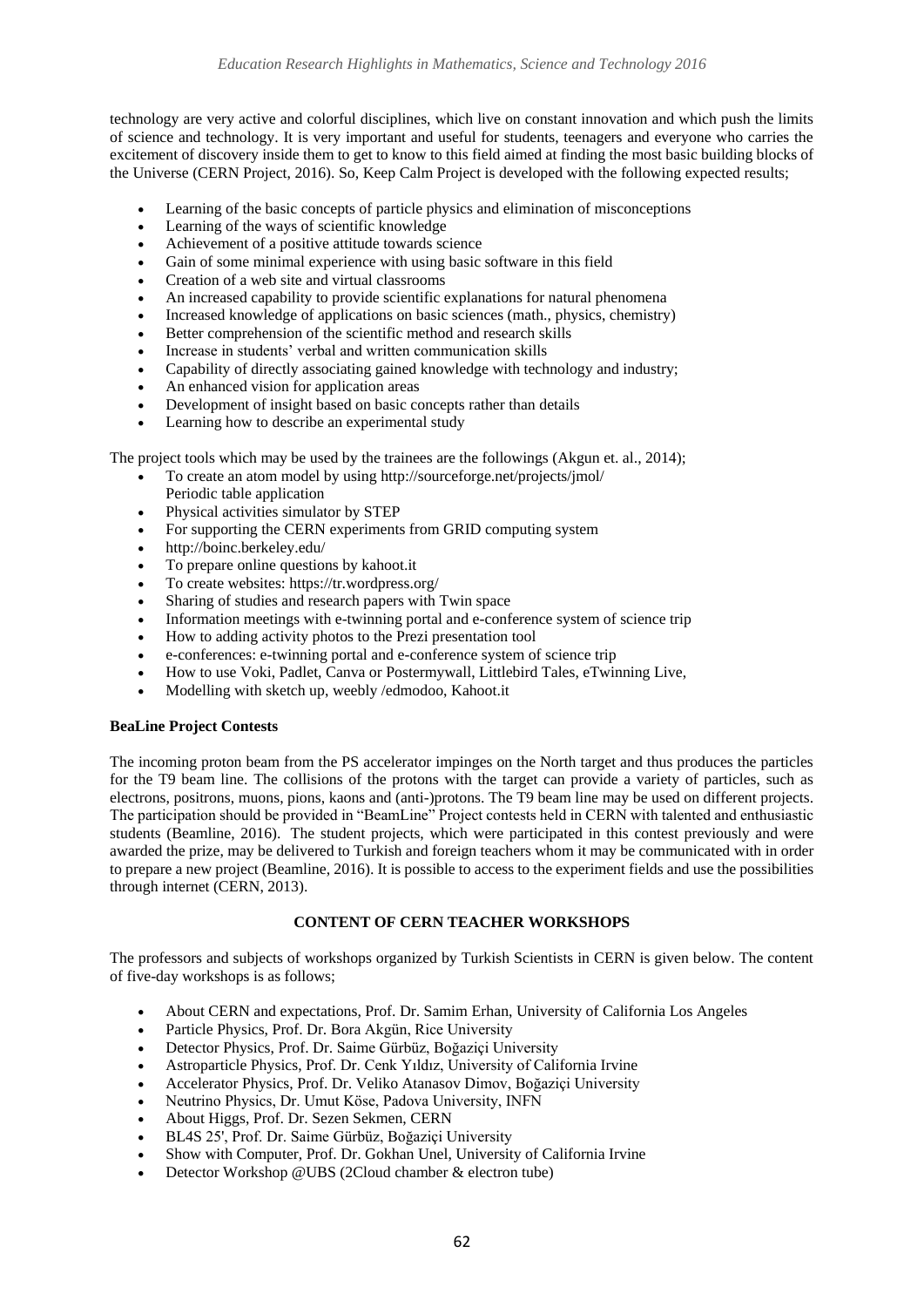technology are very active and colorful disciplines, which live on constant innovation and which push the limits of science and technology. It is very important and useful for students, teenagers and everyone who carries the excitement of discovery inside them to get to know to this field aimed at finding the most basic building blocks of the Universe (CERN Project, 2016). So, Keep Calm Project is developed with the following expected results;

- Learning of the basic concepts of particle physics and elimination of misconceptions
- Learning of the ways of scientific knowledge
- Achievement of a positive attitude towards science
- Gain of some minimal experience with using basic software in this field
- Creation of a web site and virtual classrooms
- An increased capability to provide scientific explanations for natural phenomena
- Increased knowledge of applications on basic sciences (math., physics, chemistry)
- Better comprehension of the scientific method and research skills
- Increase in students' verbal and written communication skills
- Capability of directly associating gained knowledge with technology and industry;
- An enhanced vision for application areas
- Development of insight based on basic concepts rather than details
- Learning how to describe an experimental study

The project tools which may be used by the trainees are the followings (Akgun et. al., 2014);

- To create an atom model by using http://sourceforge.net/projects/jmol/ Periodic table application
- Physical activities simulator by STEP
- For supporting the CERN experiments from GRID computing system
- <http://boinc.berkeley.edu/>
- To prepare online questions by kahoot.it
- To create websites[: https://tr.wordpress.org/](https://tr.wordpress.org/)
- Sharing of studies and research papers with Twin space
- Information meetings with e-twinning portal and e-conference system of science trip
- How to adding activity photos to the Prezi presentation tool
- e-conferences: e-twinning portal and e-conference system of science trip
- How to use Voki, Padlet, Canva or Postermywall, Littlebird Tales, eTwinning Live,
- Modelling with sketch up, weebly /edmodoo, Kahoot.it

# **BeaLine Project Contests**

The incoming proton beam from the PS accelerator impinges on the North target and thus produces the particles for the T9 beam line. The collisions of the protons with the target can provide a variety of particles, such as electrons, positrons, muons, pions, kaons and (anti-)protons. The T9 beam line may be used on different projects. The participation should be provided in "BeamLine" Project contests held in CERN with talented and enthusiastic students (Beamline, 2016). The student projects, which were participated in this contest previously and were awarded the prize, may be delivered to Turkish and foreign teachers whom it may be communicated with in order to prepare a new project (Beamline, 2016). It is possible to access to the experiment fields and use the possibilities through internet (CERN, 2013).

# **CONTENT OF CERN TEACHER WORKSHOPS**

The professors and subjects of workshops organized by Turkish Scientists in CERN is given below. The content of five-day workshops is as follows;

- About CERN and expectations, Prof. Dr. Samim Erhan, University of California Los Angeles
- Particle Physics, Prof. Dr. Bora Akgün, Rice University
- Detector Physics, Prof. Dr. Saime Gürbüz, Boğaziçi University
- Astroparticle Physics, Prof. Dr. Cenk Yıldız, University of California Irvine
- Accelerator Physics, Prof. Dr. Veliko Atanasov Dimov, Boğaziçi University
- Neutrino Physics, Dr. Umut Köse, Padova University, INFN
- About Higgs, Prof. Dr. Sezen Sekmen, CERN
- BL4S 25', Prof. Dr. Saime Gürbüz, Boğaziçi University
- Show with Computer, Prof. Dr. Gokhan Unel, University of California Irvine
- Detector Workshop @UBS (2Cloud chamber & electron tube)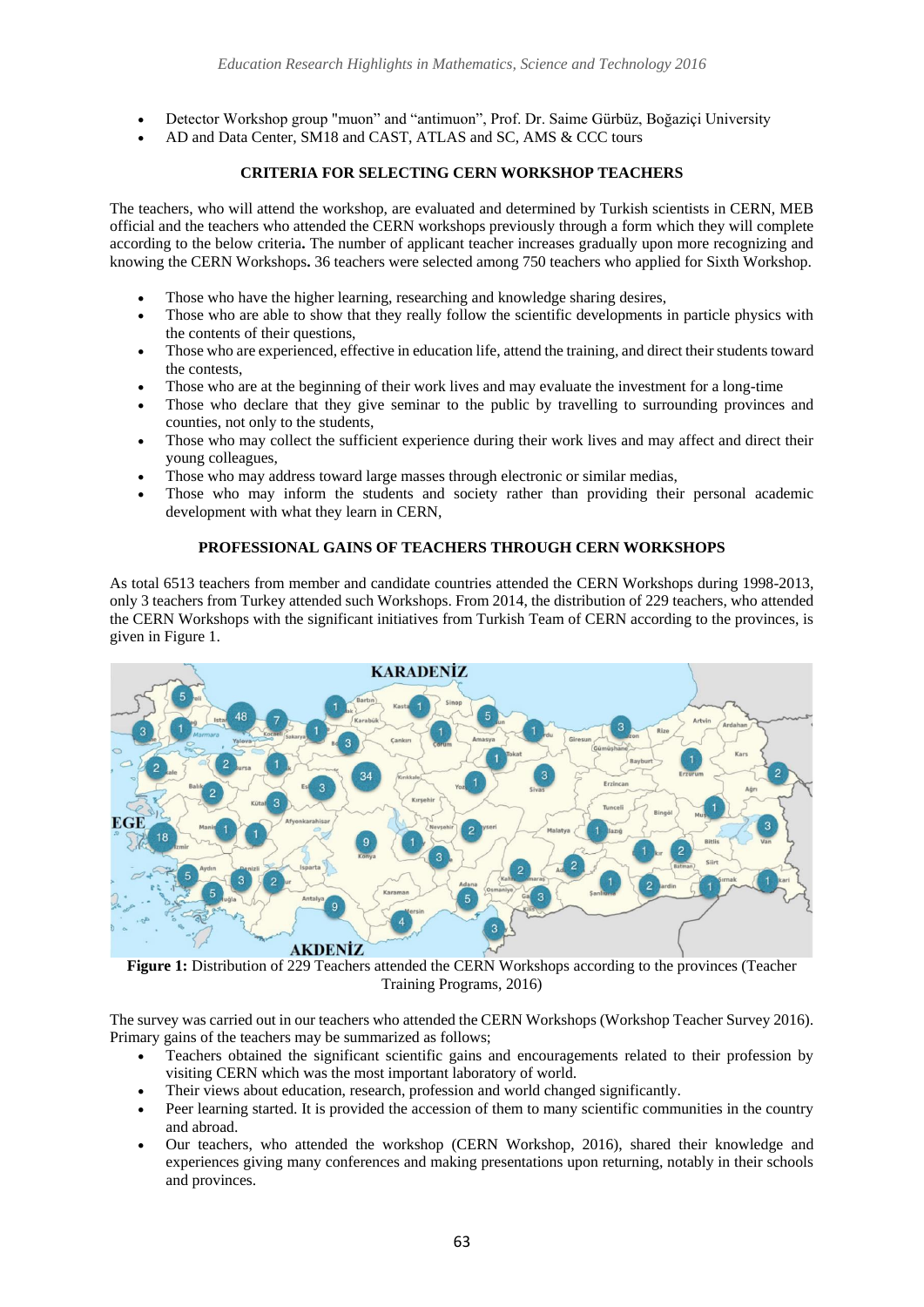- Detector Workshop group "muon" and "antimuon", Prof. Dr. Saime Gürbüz, Boğaziçi University
- AD and Data Center, SM18 and CAST, ATLAS and SC, AMS & CCC tours

# **CRITERIA FOR SELECTING CERN WORKSHOP TEACHERS**

The teachers, who will attend the workshop, are evaluated and determined by Turkish scientists in CERN, MEB official and the teachers who attended the CERN workshops previously through a form which they will complete according to the below criteria**.** The number of applicant teacher increases gradually upon more recognizing and knowing the CERN Workshops**.** 36 teachers were selected among 750 teachers who applied for Sixth Workshop.

- Those who have the higher learning, researching and knowledge sharing desires,
- Those who are able to show that they really follow the scientific developments in particle physics with the contents of their questions,
- Those who are experienced, effective in education life, attend the training, and direct their students toward the contests,
- Those who are at the beginning of their work lives and may evaluate the investment for a long-time
- Those who declare that they give seminar to the public by travelling to surrounding provinces and counties, not only to the students,
- Those who may collect the sufficient experience during their work lives and may affect and direct their young colleagues,
- Those who may address toward large masses through electronic or similar medias,
- Those who may inform the students and society rather than providing their personal academic development with what they learn in CERN,

# **PROFESSIONAL GAINS OF TEACHERS THROUGH CERN WORKSHOPS**

As total 6513 teachers from member and candidate countries attended the CERN Workshops during 1998-2013, only 3 teachers from Turkey attended such Workshops. From 2014, the distribution of 229 teachers, who attended the CERN Workshops with the significant initiatives from Turkish Team of CERN according to the provinces, is given in Figure 1.



Training Programs, 2016)

The survey was carried out in our teachers who attended the CERN Workshops (Workshop Teacher Survey 2016). Primary gains of the teachers may be summarized as follows;

- Teachers obtained the significant scientific gains and encouragements related to their profession by visiting CERN which was the most important laboratory of world.
- Their views about education, research, profession and world changed significantly.
- Peer learning started. It is provided the accession of them to many scientific communities in the country and abroad.
- Our teachers, who attended the workshop (CERN Workshop, 2016), shared their knowledge and experiences giving many conferences and making presentations upon returning, notably in their schools and provinces.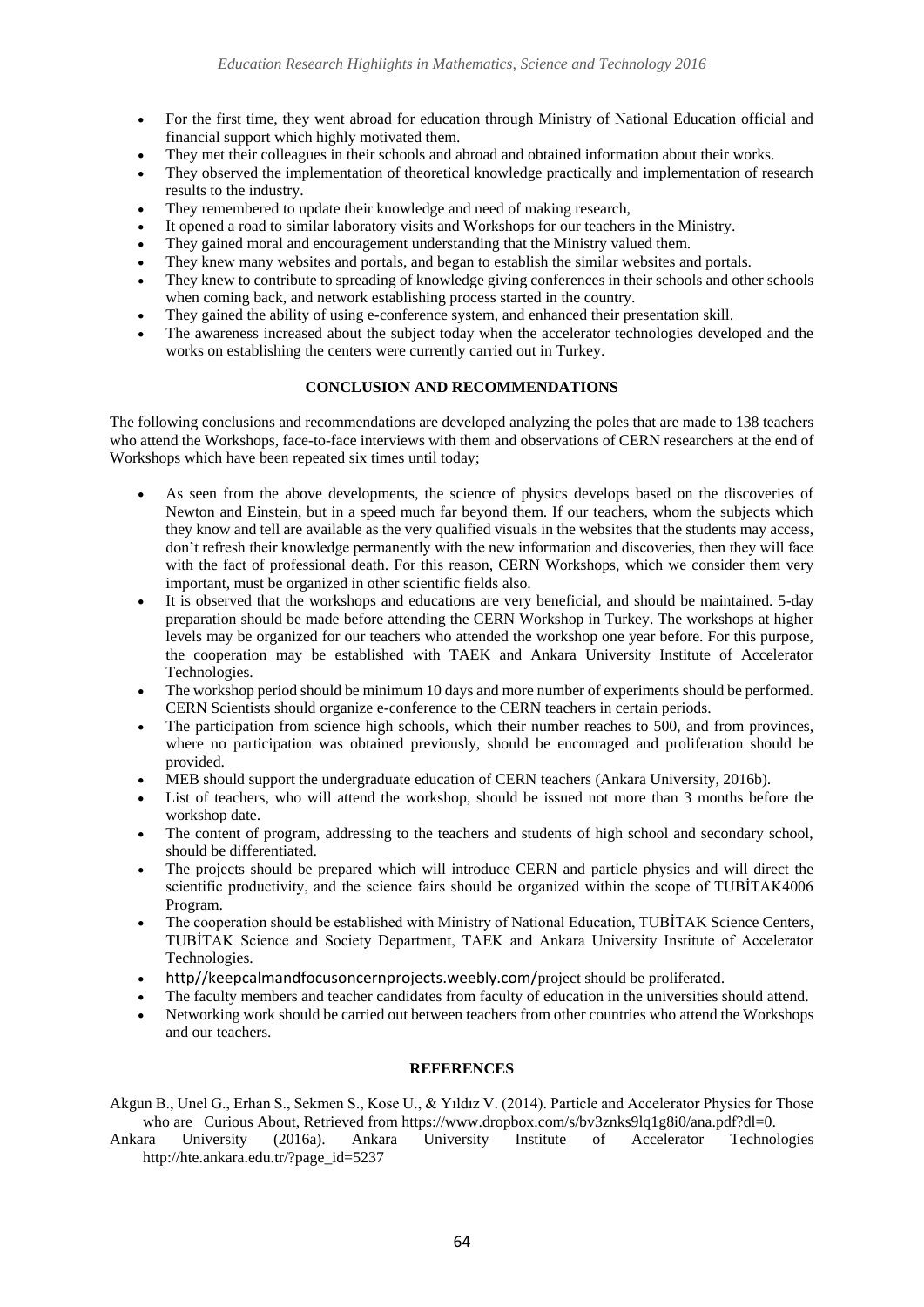- For the first time, they went abroad for education through Ministry of National Education official and financial support which highly motivated them.
- They met their colleagues in their schools and abroad and obtained information about their works.
- They observed the implementation of theoretical knowledge practically and implementation of research results to the industry.
- They remembered to update their knowledge and need of making research,
- It opened a road to similar laboratory visits and Workshops for our teachers in the Ministry.
- They gained moral and encouragement understanding that the Ministry valued them.
- They knew many websites and portals, and began to establish the similar websites and portals.
- They knew to contribute to spreading of knowledge giving conferences in their schools and other schools when coming back, and network establishing process started in the country.
- They gained the ability of using e-conference system, and enhanced their presentation skill.
- The awareness increased about the subject today when the accelerator technologies developed and the works on establishing the centers were currently carried out in Turkey.

# **CONCLUSION AND RECOMMENDATIONS**

The following conclusions and recommendations are developed analyzing the poles that are made to 138 teachers who attend the Workshops, face-to-face interviews with them and observations of CERN researchers at the end of Workshops which have been repeated six times until today;

- As seen from the above developments, the science of physics develops based on the discoveries of Newton and Einstein, but in a speed much far beyond them. If our teachers, whom the subjects which they know and tell are available as the very qualified visuals in the websites that the students may access, don't refresh their knowledge permanently with the new information and discoveries, then they will face with the fact of professional death. For this reason, CERN Workshops, which we consider them very important, must be organized in other scientific fields also.
- It is observed that the workshops and educations are very beneficial, and should be maintained. 5-day preparation should be made before attending the CERN Workshop in Turkey. The workshops at higher levels may be organized for our teachers who attended the workshop one year before. For this purpose, the cooperation may be established with TAEK and Ankara University Institute of Accelerator Technologies.
- The workshop period should be minimum 10 days and more number of experiments should be performed. CERN Scientists should organize e-conference to the CERN teachers in certain periods.
- The participation from science high schools, which their number reaches to 500, and from provinces, where no participation was obtained previously, should be encouraged and proliferation should be provided.
- MEB should support the undergraduate education of CERN teachers (Ankara University, 2016b).
- List of teachers, who will attend the workshop, should be issued not more than 3 months before the workshop date.
- The content of program, addressing to the teachers and students of high school and secondary school, should be differentiated.
- The projects should be prepared which will introduce CERN and particle physics and will direct the scientific productivity, and the science fairs should be organized within the scope of TUBİTAK4006 Program.
- The cooperation should be established with Ministry of National Education, TUBİTAK Science Centers, TUBİTAK Science and Society Department, TAEK and Ankara University Institute of Accelerator Technologies.
- [http//keepcalmandfocusoncernprojects.weebly.com/](http://keepcalmandfocusoncernprojects.weebly.com/)project should be proliferated.
- The faculty members and teacher candidates from faculty of education in the universities should attend.
- Networking work should be carried out between teachers from other countries who attend the Workshops and our teachers.

# **REFERENCES**

Akgun B., Unel G., Erhan S., Sekmen S., Kose U., & Yıldız V. (2014). Particle and Accelerator Physics for Those who are Curious About, Retrieved from https://www.dropbox.com/s/bv3znks9lq1g8i0/ana.pdf?dl=0.

Ankara University (2016a). Ankara University Institute of Accelerator Technologies http://hte.ankara.edu.tr/?page\_id=5237